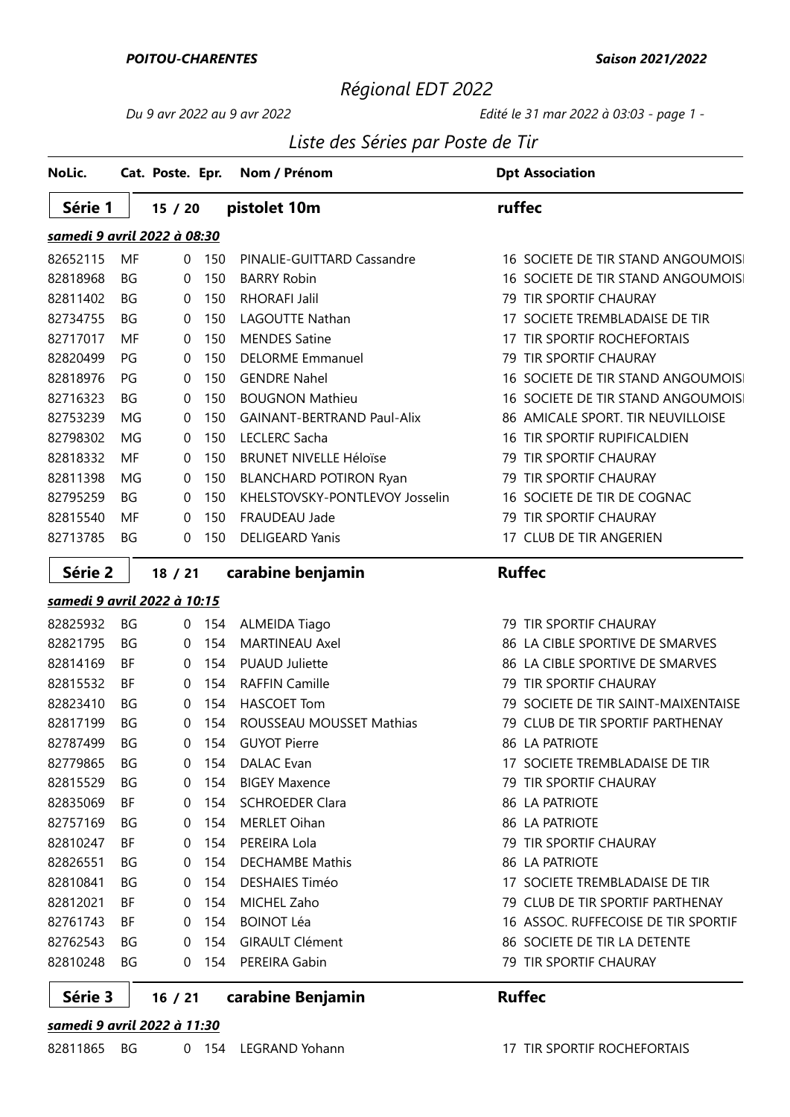### Régional EDT 2022

#### Du 9 avr 2022 au 9 avr 2022 Edité le 31 mar 2022 à 03:03 - page 1 -

### Liste des Séries par Poste de Tir

| NoLic.                             |           | Cat. Poste. Epr. |     | Nom / Prénom                      | <b>Dpt Association</b>                 |
|------------------------------------|-----------|------------------|-----|-----------------------------------|----------------------------------------|
| Série 1                            |           | 15/20            |     | pistolet 10m                      | ruffec                                 |
| <u>samedi 9 avril 2022 à 08:30</u> |           |                  |     |                                   |                                        |
| 82652115                           | MF        | $\Omega$         | 150 | PINALIE-GUITTARD Cassandre        | 16 SOCIETE DE TIR STAND ANGOUMOIS      |
| 82818968                           | ΒG        | $\mathbf{0}$     | 150 | <b>BARRY Robin</b>                | 16 SOCIETE DE TIR STAND ANGOUMOIS      |
| 82811402                           | BG        | 0                | 150 | <b>RHORAFI Jalil</b>              | 79 TIR SPORTIF CHAURAY                 |
| 82734755                           | ΒG        | $\mathbf 0$      | 150 | LAGOUTTE Nathan                   | SOCIETE TREMBLADAISE DE TIR<br>17      |
| 82717017                           | MF        | 0                | 150 | <b>MENDES Satine</b>              | TIR SPORTIF ROCHEFORTAIS<br>17         |
| 82820499                           | PG        | 0                | 150 | <b>DELORME Emmanuel</b>           | TIR SPORTIF CHAURAY<br>79              |
| 82818976                           | PG        | $\mathbf{0}$     | 150 | <b>GENDRE Nahel</b>               | 16 SOCIETE DE TIR STAND ANGOUMOIS      |
| 82716323                           | ΒG        | $\mathbf 0$      | 150 | <b>BOUGNON Mathieu</b>            | SOCIETE DE TIR STAND ANGOUMOIS<br>16   |
| 82753239                           | MG        | 0                | 150 | <b>GAINANT-BERTRAND Paul-Alix</b> | 86 AMICALE SPORT. TIR NEUVILLOISE      |
| 82798302                           | MG        | 0                | 150 | <b>LECLERC Sacha</b>              | TIR SPORTIF RUPIFICALDIEN<br>16        |
| 82818332                           | MF        | 0                | 150 | <b>BRUNET NIVELLE Héloïse</b>     | TIR SPORTIF CHAURAY<br>79              |
| 82811398                           | MG        | 0                | 150 | <b>BLANCHARD POTIRON Ryan</b>     | <b>TIR SPORTIF CHAURAY</b><br>79       |
| 82795259                           | <b>BG</b> | $\mathbf 0$      | 150 | KHELSTOVSKY-PONTLEVOY Josselin    | 16 SOCIETE DE TIR DE COGNAC            |
| 82815540                           | MF        | $\mathbf{0}$     | 150 | FRAUDEAU Jade                     | 79 TIR SPORTIF CHAURAY                 |
| 82713785                           | BG        | 0                | 150 | <b>DELIGEARD Yanis</b>            | 17 CLUB DE TIR ANGERIEN                |
| Série 2                            |           | 18 / 21          |     | carabine benjamin                 | <b>Ruffec</b>                          |
| samedi 9 avril 2022 à 10:15        |           |                  |     |                                   |                                        |
| 82825932                           | BG        | 0                | 154 | <b>ALMEIDA Tiago</b>              | 79 TIR SPORTIF CHAURAY                 |
| 82821795                           | ΒG        | $\mathbf{0}$     | 154 | <b>MARTINEAU Axel</b>             | LA CIBLE SPORTIVE DE SMARVES<br>86     |
| 82814169                           | ΒF        | 0                | 154 | <b>PUAUD Juliette</b>             | 86 LA CIBLE SPORTIVE DE SMARVES        |
| 82815532                           | ΒF        | $\mathbf 0$      | 154 | <b>RAFFIN Camille</b>             | TIR SPORTIF CHAURAY<br>79              |
| 82823410                           | ΒG        | 0                | 154 | <b>HASCOET Tom</b>                | SOCIETE DE TIR SAINT-MAIXENTAISE<br>79 |
| 82817199                           | ΒG        | 0                | 154 | ROUSSEAU MOUSSET Mathias          | CLUB DE TIR SPORTIF PARTHENAY<br>79    |
| 82787499                           | <b>BG</b> | 0                | 154 | <b>GUYOT Pierre</b>               | 86 LA PATRIOTE                         |
| 82779865                           | ΒG        | 0                | 154 | DALAC Evan                        | 17 SOCIETE TREMBLADAISE DE TIR         |
| 82815529                           | ΒG        | 0                | 154 | <b>BIGEY Maxence</b>              | 79 TIR SPORTIF CHAURAY                 |
| 82835069                           | ВF        | 0                | 154 | <b>SCHROEDER Clara</b>            | 86 LA PATRIOTE                         |
| 82757169                           | BG        | 0                | 154 | <b>MERLET Oihan</b>               | 86 LA PATRIOTE                         |
| 82810247                           | BF        | 0                | 154 | PEREIRA Lola                      | 79 TIR SPORTIF CHAURAY                 |
| 82826551                           | ΒG        | 0                | 154 | <b>DECHAMBE Mathis</b>            | <b>86 LA PATRIOTE</b>                  |
| 82810841                           | ΒG        | 0                | 154 | <b>DESHAIES Timéo</b>             | 17 SOCIETE TREMBLADAISE DE TIR         |
| 82812021                           | BF.       | 0                | 154 | MICHEL Zaho                       | 79 CLUB DE TIR SPORTIF PARTHENAY       |
| 82761743                           | ВF        | 0                | 154 | <b>BOINOT Léa</b>                 | 16 ASSOC. RUFFECOISE DE TIR SPORTIF    |
| 82762543                           | ΒG        | 0                | 154 | <b>GIRAULT Clément</b>            | 86 SOCIETE DE TIR LA DETENTE           |
| 82810248                           | BG        | 0                | 154 | PEREIRA Gabin                     | 79 TIR SPORTIF CHAURAY                 |

#### Série 3 16 / 21 carabine Benjamin Ruffec /

### samedi 9 avril 2022 à 11:30

| 17 TIR SPORTIF ROCHEFORTAIS |
|-----------------------------|
|                             |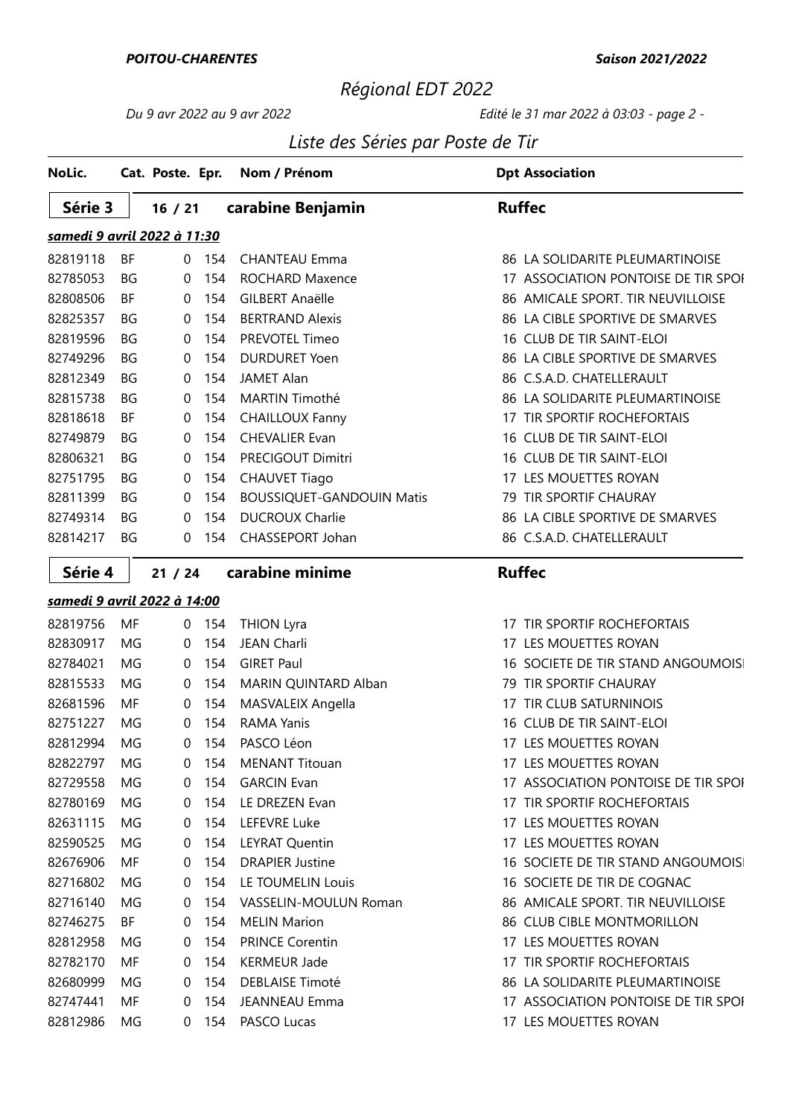#### POITOU-CHARENTES

# Régional EDT 2022

### Du 9 avr 2022 au 9 avr 2022 Edité le 31 mar 2022 à 03:03 - page 2 -

### Liste des Séries par Poste de Tir

| NoLic.                      |           | Cat. Poste. Epr. |     | Nom / Prénom                     | <b>Dpt Association</b>              |
|-----------------------------|-----------|------------------|-----|----------------------------------|-------------------------------------|
| Série 3                     |           | 16 / 21          |     | carabine Benjamin                | <b>Ruffec</b>                       |
| samedi 9 avril 2022 à 11:30 |           |                  |     |                                  |                                     |
| 82819118                    | BF        | 0                | 154 | <b>CHANTEAU Emma</b>             | 86 LA SOLIDARITE PLEUMARTINOISE     |
| 82785053                    | BG        | 0                | 154 | <b>ROCHARD Maxence</b>           | 17 ASSOCIATION PONTOISE DE TIR SPOI |
| 82808506                    | ΒF        | 0                | 154 | <b>GILBERT Anaëlle</b>           | 86 AMICALE SPORT. TIR NEUVILLOISE   |
| 82825357                    | BG        | 0                | 154 | <b>BERTRAND Alexis</b>           | 86 LA CIBLE SPORTIVE DE SMARVES     |
| 82819596                    | BG        | 0                | 154 | PREVOTEL Timeo                   | 16 CLUB DE TIR SAINT-ELOI           |
| 82749296                    | BG        | 0                | 154 | <b>DURDURET Yoen</b>             | 86 LA CIBLE SPORTIVE DE SMARVES     |
| 82812349                    | <b>BG</b> | 0                | 154 | <b>JAMET Alan</b>                | 86 C.S.A.D. CHATELLERAULT           |
| 82815738                    | BG        | 0                | 154 | MARTIN Timothé                   | 86 LA SOLIDARITE PLEUMARTINOISE     |
| 82818618                    | BF        | 0                | 154 | <b>CHAILLOUX Fanny</b>           | 17 TIR SPORTIF ROCHEFORTAIS         |
| 82749879                    | BG        | 0                | 154 | <b>CHEVALIER Evan</b>            | 16 CLUB DE TIR SAINT-ELOI           |
| 82806321                    | BG        | 0                | 154 | PRECIGOUT Dimitri                | 16 CLUB DE TIR SAINT-ELOI           |
| 82751795                    | BG        | $\boldsymbol{0}$ | 154 | <b>CHAUVET Tiago</b>             | 17 LES MOUETTES ROYAN               |
| 82811399                    | <b>BG</b> | 0                | 154 | <b>BOUSSIQUET-GANDOUIN Matis</b> | 79 TIR SPORTIF CHAURAY              |
| 82749314                    | BG        | 0                | 154 | <b>DUCROUX Charlie</b>           | 86 LA CIBLE SPORTIVE DE SMARVES     |
| 82814217                    | BG        | 0                | 154 | CHASSEPORT Johan                 | 86 C.S.A.D. CHATELLERAULT           |
| Série 4                     |           | 21 / 24          |     | carabine minime                  | <b>Ruffec</b>                       |
| samedi 9 avril 2022 à 14:00 |           |                  |     |                                  |                                     |
| 82819756                    | MF        | 0                | 154 | <b>THION Lyra</b>                | 17 TIR SPORTIF ROCHEFORTAIS         |
| 82830917                    | MG        | $\mathbf 0$      | 154 | <b>JEAN Charli</b>               | 17 LES MOUETTES ROYAN               |
| 82784021                    | MG        | 0                | 154 | <b>GIRET Paul</b>                | 16 SOCIETE DE TIR STAND ANGOUMOIS   |
| 82815533                    | MG        | $\boldsymbol{0}$ | 154 | MARIN QUINTARD Alban             | 79 TIR SPORTIF CHAURAY              |
| 82681596                    | MF        | 0                | 154 | MASVALEIX Angella                | 17 TIR CLUB SATURNINOIS             |
| 82751227                    | MG        | 0                | 154 | <b>RAMA Yanis</b>                | 16 CLUB DE TIR SAINT-ELOI           |
| 82812994                    | MG        | 0                | 154 | PASCO Léon                       | 17 LES MOUETTES ROYAN               |
| 82822797                    | MG        | 0                | 154 | <b>MENANT Titouan</b>            | 17 LES MOUETTES ROYAN               |
| 82729558                    | MG        | 0                | 154 | <b>GARCIN Evan</b>               | 17 ASSOCIATION PONTOISE DE TIR SPOI |
| 82780169                    | MG        | 0                | 154 | LE DREZEN Evan                   | 17 TIR SPORTIF ROCHEFORTAIS         |
| 82631115                    | MG        | 0                | 154 | <b>LEFEVRE Luke</b>              | 17 LES MOUETTES ROYAN               |
| 82590525                    | MG        | 0                | 154 | <b>LEYRAT Quentin</b>            | 17 LES MOUETTES ROYAN               |
| 82676906                    | MF        | 0                | 154 | <b>DRAPIER Justine</b>           | 16 SOCIETE DE TIR STAND ANGOUMOIS   |
| 82716802                    | MG        | 0                | 154 | LE TOUMELIN Louis                | 16 SOCIETE DE TIR DE COGNAC         |
| 82716140                    | MG        | 0                | 154 | VASSELIN-MOULUN Roman            | 86 AMICALE SPORT. TIR NEUVILLOISE   |
| 82746275                    | BF        | 0                | 154 | <b>MELIN Marion</b>              | 86 CLUB CIBLE MONTMORILLON          |
| 82812958                    | MG        | 0                | 154 | <b>PRINCE Corentin</b>           | 17 LES MOUETTES ROYAN               |
| 82782170                    | MF        | 0                | 154 | <b>KERMEUR Jade</b>              | 17 TIR SPORTIF ROCHEFORTAIS         |
| 82680999                    | MG        | 0                | 154 | <b>DEBLAISE Timoté</b>           | 86 LA SOLIDARITE PLEUMARTINOISE     |
| 82747441                    | MF        | 0                | 154 | <b>JEANNEAU Emma</b>             | 17 ASSOCIATION PONTOISE DE TIR SPOI |
| 82812986                    | MG        | 0                | 154 | PASCO Lucas                      | 17 LES MOUETTES ROYAN               |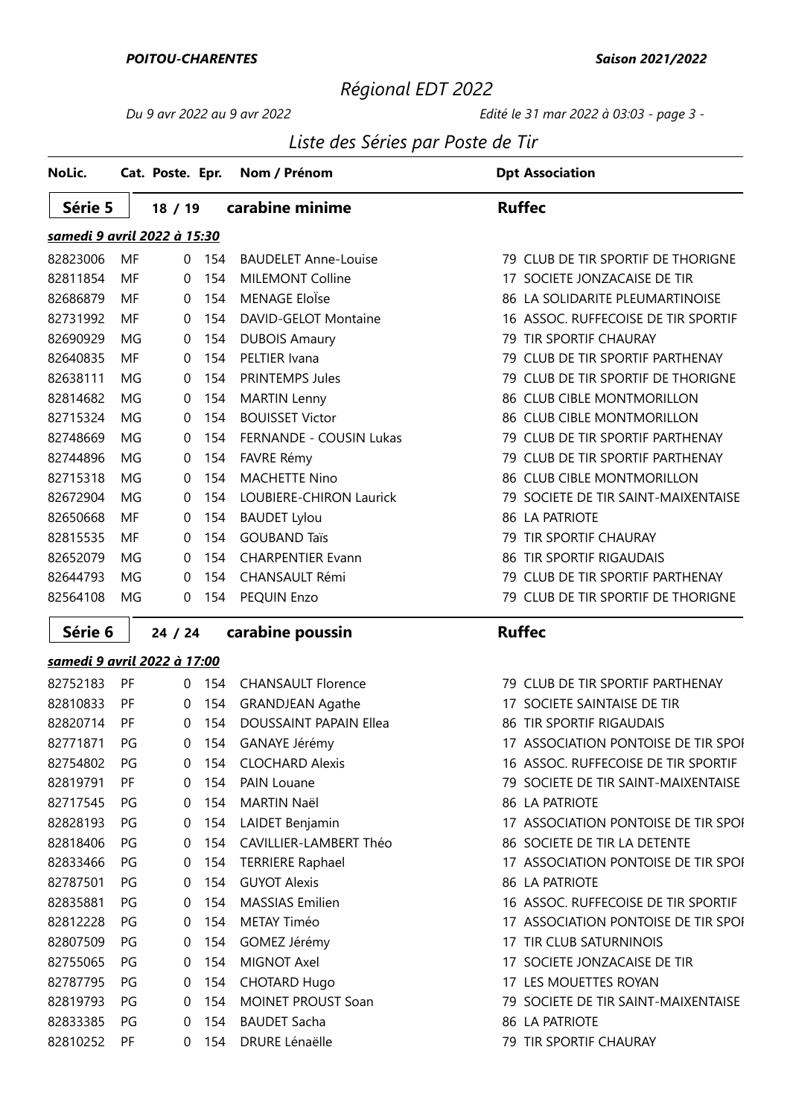#### POITOU-CHARENTES

#### Saison 2021/2022

# Régional EDT 2022

### Du 9 avr 2022 au 9 avr 2022 Edité le 31 mar 2022 à 03:03 - page 3 -

### Liste des Séries par Poste de Tir

| NoLic.                      |           | Cat. Poste. Epr. |     | Nom / Prénom                   | <b>Dpt Association</b>              |
|-----------------------------|-----------|------------------|-----|--------------------------------|-------------------------------------|
| Série 5                     |           | 18/19            |     | carabine minime                | <b>Ruffec</b>                       |
| samedi 9 avril 2022 à 15:30 |           |                  |     |                                |                                     |
| 82823006                    | MF        | $\Omega$         | 154 | <b>BAUDELET Anne-Louise</b>    | 79 CLUB DE TIR SPORTIF DE THORIGNE  |
| 82811854                    | MF        | $\Omega$         | 154 | <b>MILEMONT Colline</b>        | 17 SOCIETE JONZACAISE DE TIR        |
| 82686879                    | MF        | $\Omega$         | 154 | MENAGE EloÏse                  | 86 LA SOLIDARITE PLEUMARTINOISE     |
| 82731992                    | MF        | 0                | 154 | DAVID-GELOT Montaine           | 16 ASSOC. RUFFECOISE DE TIR SPORTIF |
| 82690929                    | MG        | 0                | 154 | <b>DUBOIS Amaury</b>           | 79 TIR SPORTIF CHAURAY              |
| 82640835                    | MF        | 0                | 154 | PELTIER Ivana                  | 79 CLUB DE TIR SPORTIF PARTHENAY    |
| 82638111                    | MG        | $\Omega$         | 154 | <b>PRINTEMPS Jules</b>         | 79 CLUB DE TIR SPORTIF DE THORIGNE  |
| 82814682                    | MG        | $\mathbf 0$      | 154 | <b>MARTIN Lenny</b>            | 86 CLUB CIBLE MONTMORILLON          |
| 82715324                    | MG        | 0                | 154 | <b>BOUISSET Victor</b>         | 86 CLUB CIBLE MONTMORILLON          |
| 82748669                    | MG        | 0                | 154 | <b>FERNANDE - COUSIN Lukas</b> | 79 CLUB DE TIR SPORTIF PARTHENAY    |
| 82744896                    | MG        | 0                | 154 | FAVRE Rémy                     | 79 CLUB DE TIR SPORTIF PARTHENAY    |
| 82715318                    | MG        | $\mathbf 0$      | 154 | <b>MACHETTE Nino</b>           | 86 CLUB CIBLE MONTMORILLON          |
| 82672904                    | MG        | 0                | 154 | LOUBIERE-CHIRON Laurick        | 79 SOCIETE DE TIR SAINT-MAIXENTAISE |
| 82650668                    | MF        | 0                | 154 | <b>BAUDET Lylou</b>            | 86 LA PATRIOTE                      |
| 82815535                    | MF        | $\Omega$         | 154 | <b>GOUBAND Taïs</b>            | 79 TIR SPORTIF CHAURAY              |
| 82652079                    | MG        | $\Omega$         | 154 | <b>CHARPENTIER Evann</b>       | 86 TIR SPORTIF RIGAUDAIS            |
| 82644793                    | MG        | $\Omega$         | 154 | <b>CHANSAULT Rémi</b>          | 79 CLUB DE TIR SPORTIF PARTHENAY    |
| 82564108                    | MG        | 0                | 154 | PEQUIN Enzo                    | 79 CLUB DE TIR SPORTIF DE THORIGNE  |
| Série 6                     |           | 24 / 24          |     | carabine poussin               | <b>Ruffec</b>                       |
| samedi 9 avril 2022 à 17:00 |           |                  |     |                                |                                     |
| 82752183                    | PF        | $\Omega$         | 154 | <b>CHANSAULT Florence</b>      | 79 CLUB DE TIR SPORTIF PARTHENAY    |
| 82810833                    | PF        | 0                | 154 | <b>GRANDJEAN Agathe</b>        | 17 SOCIETE SAINTAISE DE TIR         |
| 82820714                    | PF        | $\Omega$         | 154 | <b>DOUSSAINT PAPAIN Ellea</b>  | 86 TIR SPORTIF RIGAUDAIS            |
| 82771871                    | PG        | 0                | 154 | GANAYE Jérémy                  | 17 ASSOCIATION PONTOISE DE TIR SPOI |
| 82754802                    | PG        | 0                | 154 | <b>CLOCHARD Alexis</b>         | 16 ASSOC. RUFFECOISE DE TIR SPORTIF |
| 82819791                    | PF        | 0                | 154 | <b>PAIN Louane</b>             | 79 SOCIETE DE TIR SAINT-MAIXENTAISE |
| 82717545                    | PG        | 0                | 154 | <b>MARTIN Naël</b>             | 86 LA PATRIOTE                      |
| 82828193                    | PG        | 0                | 154 | LAIDET Benjamin                | 17 ASSOCIATION PONTOISE DE TIR SPOI |
| 82818406                    | PG        | 0                | 154 | CAVILLIER-LAMBERT Théo         | 86 SOCIETE DE TIR LA DETENTE        |
| 82833466                    | PG        | 0                | 154 | <b>TERRIERE Raphael</b>        | 17 ASSOCIATION PONTOISE DE TIR SPOI |
| 82787501                    | PG        | 0                | 154 | <b>GUYOT Alexis</b>            | 86 LA PATRIOTE                      |
| 82835881                    | PG        | 0                | 154 | <b>MASSIAS Emilien</b>         | 16 ASSOC. RUFFECOISE DE TIR SPORTIF |
| 82812228                    | PG        | 0                | 154 | METAY Timéo                    | 17 ASSOCIATION PONTOISE DE TIR SPOI |
| 82807509                    | PG        | 0                | 154 | GOMEZ Jérémy                   | 17 TIR CLUB SATURNINOIS             |
| 82755065                    | PG        | 0                | 154 | MIGNOT Axel                    | 17 SOCIETE JONZACAISE DE TIR        |
| 82787795                    | PG        | 0                | 154 | <b>CHOTARD Hugo</b>            | 17 LES MOUETTES ROYAN               |
| 82819793                    | PG        | 0                | 154 | <b>MOINET PROUST Soan</b>      | 79 SOCIETE DE TIR SAINT-MAIXENTAISE |
| 82833385                    | PG        | 0                | 154 | <b>BAUDET Sacha</b>            | <b>86 LA PATRIOTE</b>               |
| 82810252                    | <b>PF</b> | 0                | 154 | <b>DRURE Lénaëlle</b>          | 79 TIR SPORTIF CHAURAY              |